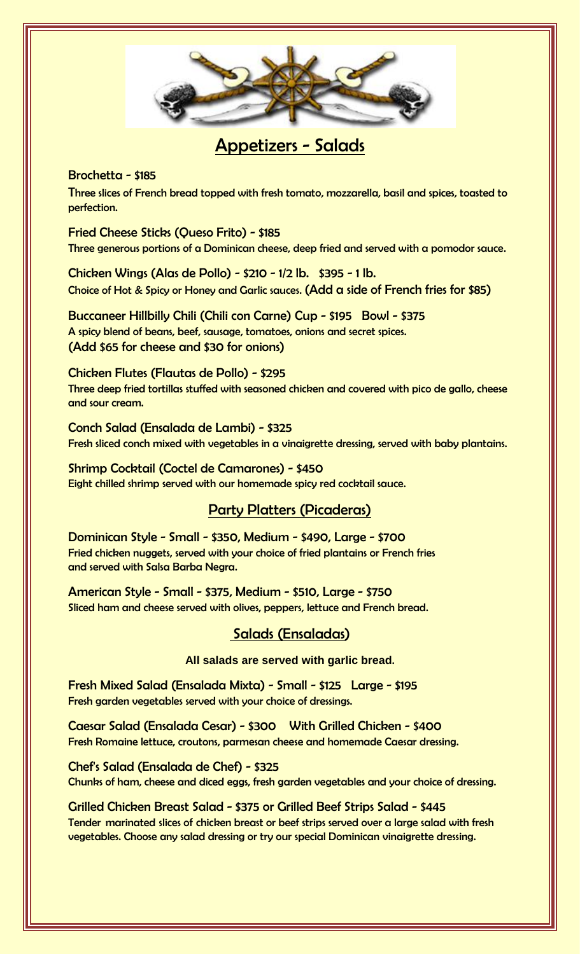

# Appetizers - Salads

### Brochetta - \$185

Three slices of French bread topped with fresh tomato, mozzarella, basil and spices, toasted to perfection.

Fried Cheese Sticks (Queso Frito) - \$185 Three generous portions of a Dominican cheese, deep fried and served with a pomodor sauce.

Chicken Wings (Alas de Pollo) - \$210 - 1/2 lb. \$395 - 1 lb. Choice of Hot & Spicy or Honey and Garlic sauces. (Add a side of French fries for \$85)

Buccaneer Hillbilly Chili (Chili con Carne) Cup - \$195 Bowl - \$375 A spicy blend of beans, beef, sausage, tomatoes, onions and secret spices. (Add \$65 for cheese and \$30 for onions)

### Chicken Flutes (Flautas de Pollo) - \$295

Three deep fried tortillas stuffed with seasoned chicken and covered with pico de gallo, cheese and sour cream.

Conch Salad (Ensalada de Lambi) - \$325 Fresh sliced conch mixed with vegetables in a vinaigrette dressing, served with baby plantains.

Shrimp Cocktail (Coctel de Camarones) - \$450 Eight chilled shrimp served with our homemade spicy red cocktail sauce.

### Party Platters (Picaderas)

Dominican Style - Small - \$350, Medium - \$490, Large - \$700 Fried chicken nuggets, served with your choice of fried plantains or French fries and served with Salsa Barba Negra.

American Style - Small - \$375, Medium - \$510, Large - \$750 Sliced ham and cheese served with olives, peppers, lettuce and French bread.

### Salads (Ensaladas)

#### **All salads are served with garlic bread**.

Fresh Mixed Salad (Ensalada Mixta) - Small - \$125 Large - \$195 Fresh garden vegetables served with your choice of dressings.

Caesar Salad (Ensalada Cesar) - \$300 With Grilled Chicken - \$400 Fresh Romaine lettuce, croutons, parmesan cheese and homemade Caesar dressing.

Chef's Salad (Ensalada de Chef) - \$325 Chunks of ham, cheese and diced eggs, fresh garden vegetables and your choice of dressing.

Grilled Chicken Breast Salad - \$375 or Grilled Beef Strips Salad - \$445 Tender marinated slices of chicken breast or beef strips served over a large salad with fresh vegetables. Choose any salad dressing or try our special Dominican vinaigrette dressing.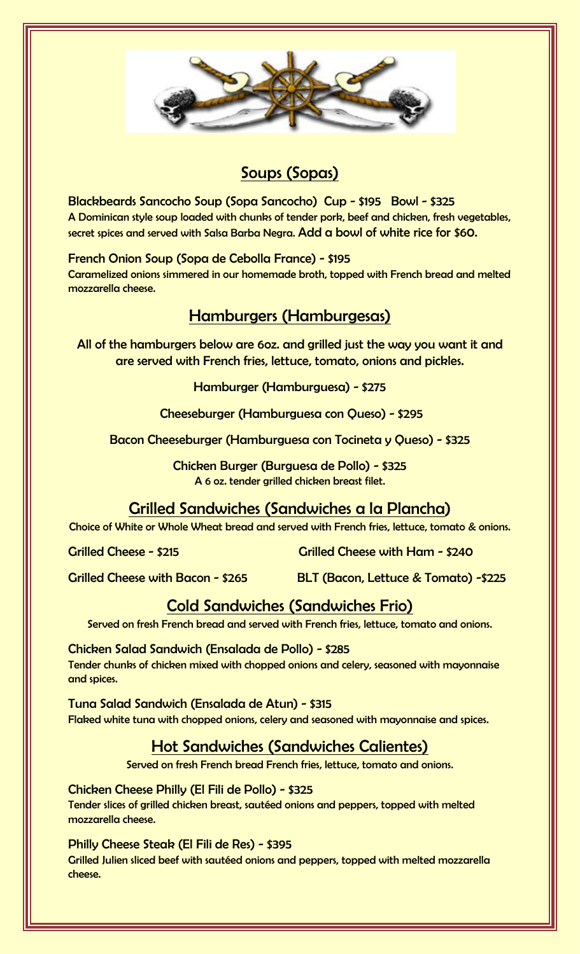

# Soups (Sopas)

Blackbeards Sancocho Soup (Sopa Sancocho) Cup - \$195 Bowl - \$325 A Dominican style soup loaded with chunks of tender pork, beef and chicken, fresh vegetables, secret spices and served with Salsa Barba Negra. Add a bowl of white rice for \$60.

French Onion Soup (Sopa de Cebolla France) - \$195 Caramelized onions simmered in our homemade broth, topped with French bread and melted mozzarella cheese.

## Hamburgers (Hamburgesas)

All of the hamburgers below are 6oz. and grilled just the way you want it and are served with French fries, lettuce, tomato, onions and pickles.

Hamburger (Hamburguesa) - \$275

Cheeseburger (Hamburguesa con Queso) - \$295

Bacon Cheeseburger (Hamburguesa con Tocineta y Queso) - \$325

Chicken Burger (Burguesa de Pollo) - \$325 A 6 oz. tender grilled chicken breast filet.

Grilled Sandwiches (Sandwiches a la Plancha)

Choice of White or Whole Wheat bread and served with French fries, lettuce, tomato & onions.

Grilled Cheese - \$215 Grilled Cheese with Ham - \$240

Grilled Cheese with Bacon - \$265 BLT (Bacon, Lettuce & Tomato) -\$225

## Cold Sandwiches (Sandwiches Frio)

Served on fresh French bread and served with French fries, lettuce, tomato and onions.

Chicken Salad Sandwich (Ensalada de Pollo) - \$285 Tender chunks of chicken mixed with chopped onions and celery, seasoned with mayonnaise and spices.

Tuna Salad Sandwich (Ensalada de Atun) - \$315 Flaked white tuna with chopped onions, celery and seasoned with mayonnaise and spices.

## Hot Sandwiches (Sandwiches Calientes)

Served on fresh French bread French fries, lettuce, tomato and onions.

Chicken Cheese Philly (El Fili de Pollo) - \$325 Tender slices of grilled chicken breast, sautéed onions and peppers, topped with melted mozzarella cheese.

Philly Cheese Steak (El Fili de Res) - \$395

Grilled Julien sliced beef with sautéed onions and peppers, topped with melted mozzarella cheese.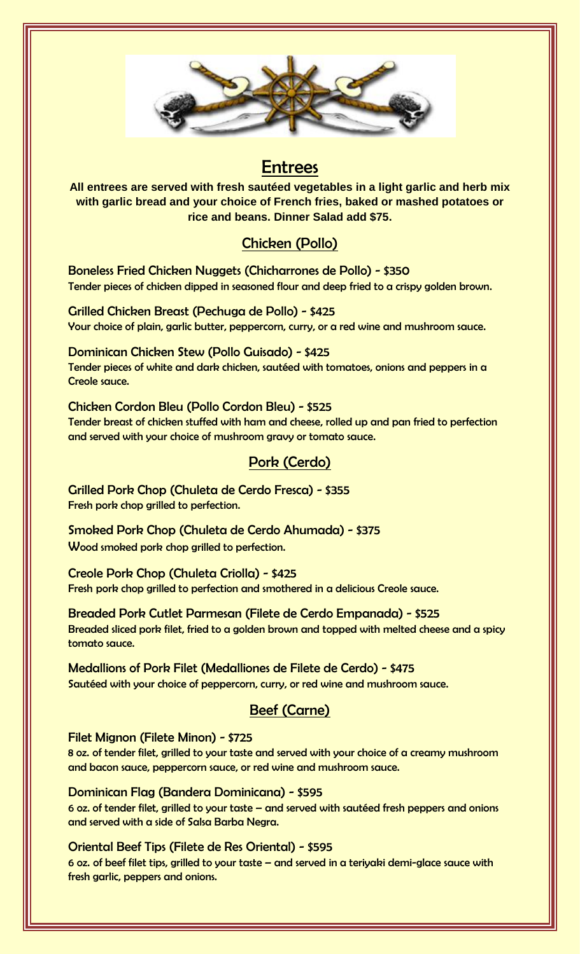

## **Entrees**

**All entrees are served with fresh sautéed vegetables in a light garlic and herb mix with garlic bread and your choice of French fries, baked or mashed potatoes or rice and beans. Dinner Salad add \$75.**

## Chicken (Pollo)

Boneless Fried Chicken Nuggets (Chicharrones de Pollo) - \$350 Tender pieces of chicken dipped in seasoned flour and deep fried to a crispy golden brown.

Grilled Chicken Breast (Pechuga de Pollo) - \$425 Your choice of plain, garlic butter, peppercorn, curry, or a red wine and mushroom sauce.

Dominican Chicken Stew (Pollo Guisado) - \$425 Tender pieces of white and dark chicken, sautéed with tomatoes, onions and peppers in a Creole sauce.

Chicken Cordon Bleu (Pollo Cordon Bleu) - \$525 Tender breast of chicken stuffed with ham and cheese, rolled up and pan fried to perfection and served with your choice of mushroom gravy or tomato sauce.

## Pork (Cerdo)

Grilled Pork Chop (Chuleta de Cerdo Fresca) - \$355 Fresh pork chop grilled to perfection.

Smoked Pork Chop (Chuleta de Cerdo Ahumada) - \$375 Wood smoked pork chop grilled to perfection.

Creole Pork Chop (Chuleta Criolla) - \$425 Fresh pork chop grilled to perfection and smothered in a delicious Creole sauce.

Breaded Pork Cutlet Parmesan (Filete de Cerdo Empanada) - \$525 Breaded sliced pork filet, fried to a golden brown and topped with melted cheese and a spicy tomato sauce.

Medallions of Pork Filet (Medalliones de Filete de Cerdo) - \$475 Sautéed with your choice of peppercorn, curry, or red wine and mushroom sauce.

## Beef (Carne)

Filet Mignon (Filete Minon) - \$725

8 oz. of tender filet, grilled to your taste and served with your choice of a creamy mushroom and bacon sauce, peppercorn sauce, or red wine and mushroom sauce.

Dominican Flag (Bandera Dominicana) - \$595

6 oz. of tender filet, grilled to your taste – and served with sautéed fresh peppers and onions and served with a side of Salsa Barba Negra.

### Oriental Beef Tips (Filete de Res Oriental) - \$595

6 oz. of beef filet tips, grilled to your taste – and served in a teriyaki demi-glace sauce with fresh garlic, peppers and onions.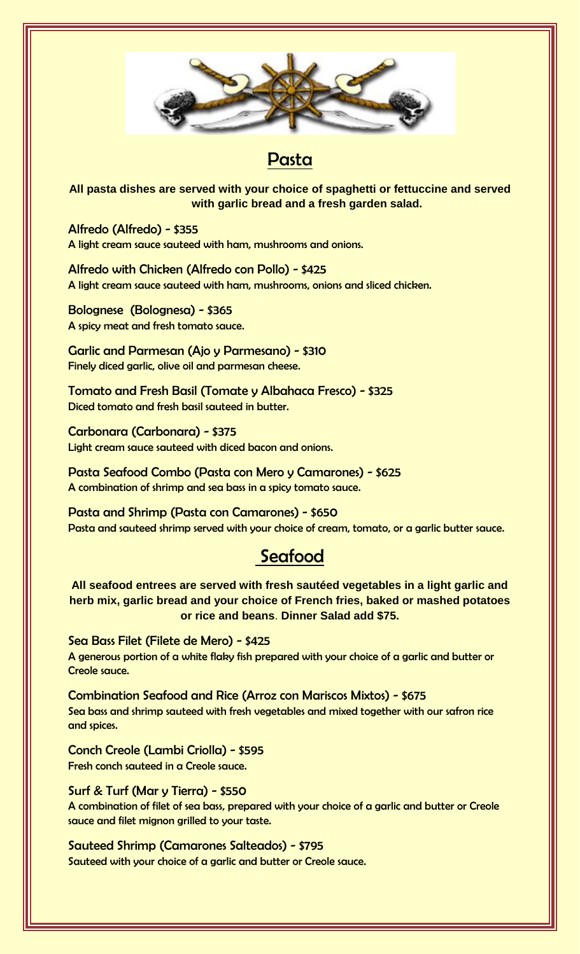

# Pasta

**All pasta dishes are served with your choice of spaghetti or fettuccine and served with garlic bread and a fresh garden salad.**

Alfredo (Alfredo) - \$355 A light cream sauce sauteed with ham, mushrooms and onions.

Alfredo with Chicken (Alfredo con Pollo) - \$425 A light cream sauce sauteed with ham, mushrooms, onions and sliced chicken.

Bolognese (Bolognesa) - \$365 A spicy meat and fresh tomato sauce.

Garlic and Parmesan (Ajo y Parmesano) - \$310 Finely diced garlic, olive oil and parmesan cheese.

Tomato and Fresh Basil (Tomate y Albahaca Fresco) - \$325 Diced tomato and fresh basil sauteed in butter.

Carbonara (Carbonara) - \$375 Light cream sauce sauteed with diced bacon and onions.

Pasta Seafood Combo (Pasta con Mero y Camarones) - \$625 A combination of shrimp and sea bass in a spicy tomato sauce.

Pasta and Shrimp (Pasta con Camarones) - \$650 Pasta and sauteed shrimp served with your choice of cream, tomato, or a garlic butter sauce.

# **Seafood**

**All seafood entrees are served with fresh sautéed vegetables in a light garlic and herb mix, garlic bread and your choice of French fries, baked or mashed potatoes or rice and beans**. **Dinner Salad add \$75.**

Sea Bass Filet (Filete de Mero) - \$425 A generous portion of a white flaky fish prepared with your choice of a garlic and butter or Creole sauce.

Combination Seafood and Rice (Arroz con Mariscos Mixtos) - \$675 Sea bass and shrimp sauteed with fresh vegetables and mixed together with our safron rice and spices.

Conch Creole (Lambi Criolla) - \$595 Fresh conch sauteed in a Creole sauce.

Surf & Turf (Mar y Tierra) - \$550 A combination of filet of sea bass, prepared with your choice of a garlic and butter or Creole sauce and filet mignon grilled to your taste.

Sauteed Shrimp (Camarones Salteados) - \$795 Sauteed with your choice of a garlic and butter or Creole sauce.